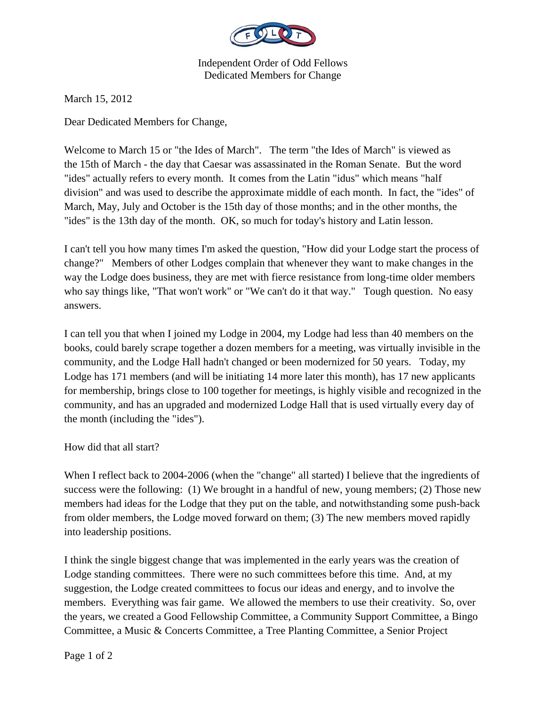

Independent Order of Odd Fellows Dedicated Members for Change

March 15, 2012

Dear Dedicated Members for Change,

Welcome to March 15 or "the Ides of March". The term "the Ides of March" is viewed as the 15th of March - the day that Caesar was assassinated in the Roman Senate. But the word "ides" actually refers to every month. It comes from the Latin "idus" which means "half division" and was used to describe the approximate middle of each month. In fact, the "ides" of March, May, July and October is the 15th day of those months; and in the other months, the "ides" is the 13th day of the month. OK, so much for today's history and Latin lesson.

I can't tell you how many times I'm asked the question, "How did your Lodge start the process of change?" Members of other Lodges complain that whenever they want to make changes in the way the Lodge does business, they are met with fierce resistance from long-time older members who say things like, "That won't work" or "We can't do it that way." Tough question. No easy answers.

I can tell you that when I joined my Lodge in 2004, my Lodge had less than 40 members on the books, could barely scrape together a dozen members for a meeting, was virtually invisible in the community, and the Lodge Hall hadn't changed or been modernized for 50 years. Today, my Lodge has 171 members (and will be initiating 14 more later this month), has 17 new applicants for membership, brings close to 100 together for meetings, is highly visible and recognized in the community, and has an upgraded and modernized Lodge Hall that is used virtually every day of the month (including the "ides").

How did that all start?

When I reflect back to 2004-2006 (when the "change" all started) I believe that the ingredients of success were the following: (1) We brought in a handful of new, young members; (2) Those new members had ideas for the Lodge that they put on the table, and notwithstanding some push-back from older members, the Lodge moved forward on them; (3) The new members moved rapidly into leadership positions.

I think the single biggest change that was implemented in the early years was the creation of Lodge standing committees. There were no such committees before this time. And, at my suggestion, the Lodge created committees to focus our ideas and energy, and to involve the members. Everything was fair game. We allowed the members to use their creativity. So, over the years, we created a Good Fellowship Committee, a Community Support Committee, a Bingo Committee, a Music & Concerts Committee, a Tree Planting Committee, a Senior Project